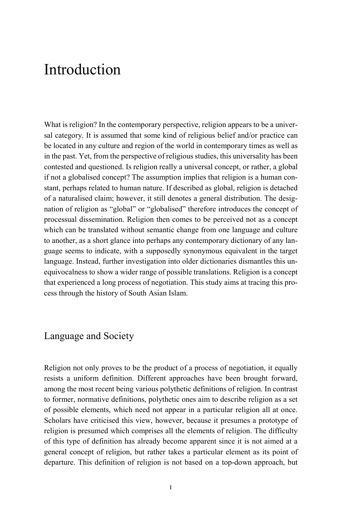What is religion? In the contemporary perspective, religion appears to be a universal category. It is assumed that some kind of religious belief and/or practice can be located in any culture and region of the world in contemporary times as well as in the past. Yet, from the perspective of religious studies, this universality has been contested and questioned. Is religion really a universal concept, or rather, a global if not a globalised concept? The assumption implies that religion is a human constant, perhaps related to human nature. If described as global, religion is detached of a naturalised claim; however, it still denotes a general distribution. The designation of religion as "global" or "globalised" therefore introduces the concept of processual dissemination. Religion then comes to be perceived not as a concept which can be translated without semantic change from one language and culture to another, as a short glance into perhaps any contemporary dictionary of any language seems to indicate, with a supposedly synonymous equivalent in the target language. Instead, further investigation into older dictionaries dismantles this unequivocalness to show a wider range of possible translations. Religion is a concept that experienced a long process of negotiation. This study aims at tracing this process through the history of South Asian Islam.

### Language and Society

Religion not only proves to be the product of a process of negotiation, it equally resists a uniform definition. Different approaches have been brought forward, among the most recent being various polythetic definitions of religion. In contrast to former, normative definitions, polythetic ones aim to describe religion as a set of possible elements, which need not appear in a particular religion all at once. Scholars have criticised this view, however, because it presumes a prototype of religion is presumed which comprises all the elements of religion. The difficulty of this type of definition has already become apparent since it is not aimed at a general concept of religion, but rather takes a particular element as its point of departure. This definition of religion is not based on a top-down approach, but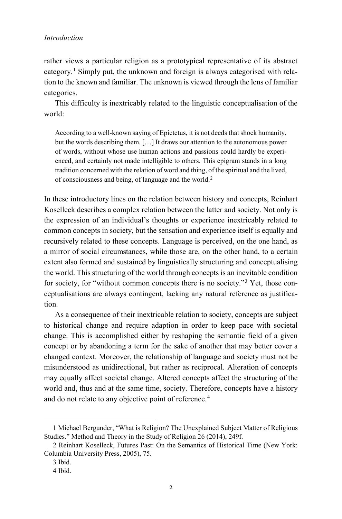rather views a particular religion as a prototypical representative of its abstract category.<sup>[1](#page-1-0)</sup> Simply put, the unknown and foreign is always categorised with relation to the known and familiar. The unknown is viewed through the lens of familiar categories.

This difficulty is inextricably related to the linguistic conceptualisation of the world:

According to a well-known saying of Epictetus, it is not deeds that shock humanity, but the words describing them. […] It draws our attention to the autonomous power of words, without whose use human actions and passions could hardly be experienced, and certainly not made intelligible to others. This epigram stands in a long tradition concerned with the relation of word and thing, of the spiritual and the lived, of consciousness and being, of language and the world.[2](#page-1-1)

In these introductory lines on the relation between history and concepts, Reinhart Koselleck describes a complex relation between the latter and society. Not only is the expression of an individual's thoughts or experience inextricably related to common concepts in society, but the sensation and experience itself is equally and recursively related to these concepts. Language is perceived, on the one hand, as a mirror of social circumstances, while those are, on the other hand, to a certain extent also formed and sustained by linguistically structuring and conceptualising the world. This structuring of the world through concepts is an inevitable condition for society, for "without common concepts there is no society."[3](#page-1-2) Yet, those conceptualisations are always contingent, lacking any natural reference as justification.

As a consequence of their inextricable relation to society, concepts are subject to historical change and require adaption in order to keep pace with societal change. This is accomplished either by reshaping the semantic field of a given concept or by abandoning a term for the sake of another that may better cover a changed context. Moreover, the relationship of language and society must not be misunderstood as unidirectional, but rather as reciprocal. Alteration of concepts may equally affect societal change. Altered concepts affect the structuring of the world and, thus and at the same time, society. Therefore, concepts have a history and do not relate to any objective point of reference.<sup>[4](#page-1-3)</sup>

<span id="page-1-0"></span><sup>1</sup> Michael Bergunder, "What is Religion? The Unexplained Subject Matter of Religious Studies." Method and Theory in the Study of Religion 26 (2014), 249f.

<span id="page-1-3"></span><span id="page-1-2"></span><span id="page-1-1"></span><sup>2</sup> Reinhart Koselleck, Futures Past: On the Semantics of Historical Time (New York: Columbia University Press, 2005), 75.

<sup>3</sup> Ibid.

<sup>4</sup> Ibid.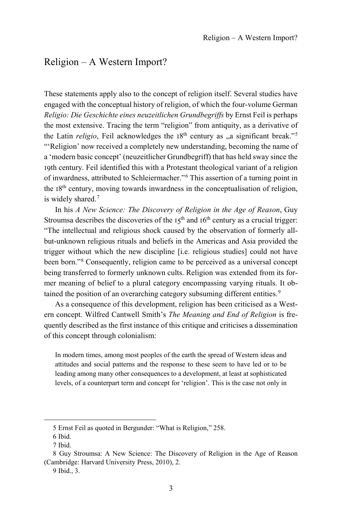# Religion – A Western Import?

These statements apply also to the concept of religion itself. Several studies have engaged with the conceptual history of religion, of which the four-volume German *Religio: Die Geschichte eines neuzeitlichen Grundbegriffs* by Ernst Feil is perhaps the most extensive. Tracing the term "religion" from antiquity, as a derivative of the Latin *religio*, Feil acknowledges the  $18<sup>th</sup>$  century as  $\alpha$  significant break."<sup>[5](#page-2-0)</sup> "'Religion' now received a completely new understanding, becoming the name of a 'modern basic concept' (neuzeitlicher Grundbegriff) that has held sway since the 19th century. Feil identified this with a Protestant theological variant of a religion of inwardness, attributed to Schleiermacher."[6](#page-2-1) This assertion of a turning point in the  $18<sup>th</sup>$  century, moving towards inwardness in the conceptualisation of religion, is widely shared.[7](#page-2-2)

In his *A New Science: The Discovery of Religion in the Age of Reason*, Guy Stroumsa describes the discoveries of the  $15<sup>th</sup>$  and  $16<sup>th</sup>$  century as a crucial trigger: "The intellectual and religious shock caused by the observation of formerly allbut-unknown religious rituals and beliefs in the Americas and Asia provided the trigger without which the new discipline [i.e. religious studies] could not have been born."[8](#page-2-3) Consequently, religion came to be perceived as a universal concept being transferred to formerly unknown cults. Religion was extended from its former meaning of belief to a plural category encompassing varying rituals. It ob-tained the position of an overarching category subsuming different entities.<sup>[9](#page-2-4)</sup>

As a consequence of this development, religion has been criticised as a Western concept. Wilfred Cantwell Smith's *The Meaning and End of Religion* is frequently described as the first instance of this critique and criticises a dissemination of this concept through colonialism:

In modern times, among most peoples of the earth the spread of Western ideas and attitudes and social patterns and the response to these seem to have led or to be leading among many other consequences to a development, at least at sophisticated levels, of a counterpart term and concept for 'religion'. This is the case not only in

<sup>5</sup> Ernst Feil as quoted in Bergunder: "What is Religion," 258.

<sup>6</sup> Ibid.

<sup>7</sup> Ibid.

<span id="page-2-4"></span><span id="page-2-3"></span><span id="page-2-2"></span><span id="page-2-1"></span><span id="page-2-0"></span><sup>8</sup> Guy Stroumsa: A New Science: The Discovery of Religion in the Age of Reason (Cambridge: Harvard University Press, 2010), 2.

<sup>9</sup> Ibid., 3.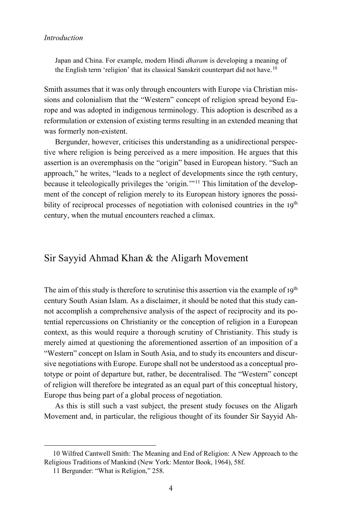Japan and China. For example, modern Hindi *dharam* is developing a meaning of the English term 'religion' that its classical Sanskrit counterpart did not have.<sup>[10](#page-3-0)</sup>

Smith assumes that it was only through encounters with Europe via Christian missions and colonialism that the "Western" concept of religion spread beyond Europe and was adopted in indigenous terminology. This adoption is described as a reformulation or extension of existing terms resulting in an extended meaning that was formerly non-existent.

Bergunder, however, criticises this understanding as a unidirectional perspective where religion is being perceived as a mere imposition. He argues that this assertion is an overemphasis on the "origin" based in European history. "Such an approach," he writes, "leads to a neglect of developments since the 19th century, because it teleologically privileges the 'origin.'"[11](#page-3-1) This limitation of the development of the concept of religion merely to its European history ignores the possibility of reciprocal processes of negotiation with colonised countries in the 19<sup>th</sup> century, when the mutual encounters reached a climax.

### Sir Sayyid Ahmad Khan & the Aligarh Movement

The aim of this study is therefore to scrutinise this assertion via the example of  $I9<sup>th</sup>$ century South Asian Islam. As a disclaimer, it should be noted that this study cannot accomplish a comprehensive analysis of the aspect of reciprocity and its potential repercussions on Christianity or the conception of religion in a European context, as this would require a thorough scrutiny of Christianity. This study is merely aimed at questioning the aforementioned assertion of an imposition of a "Western" concept on Islam in South Asia, and to study its encounters and discursive negotiations with Europe. Europe shall not be understood as a conceptual prototype or point of departure but, rather, be decentralised. The "Western" concept of religion will therefore be integrated as an equal part of this conceptual history, Europe thus being part of a global process of negotiation.

As this is still such a vast subject, the present study focuses on the Aligarh Movement and, in particular, the religious thought of its founder Sir Sayyid Ah-

<span id="page-3-1"></span><span id="page-3-0"></span><sup>10</sup> Wilfred Cantwell Smith: The Meaning and End of Religion: A New Approach to the Religious Traditions of Mankind (New York: Mentor Book, 1964), 58f.

<sup>11</sup> Bergunder: "What is Religion," 258.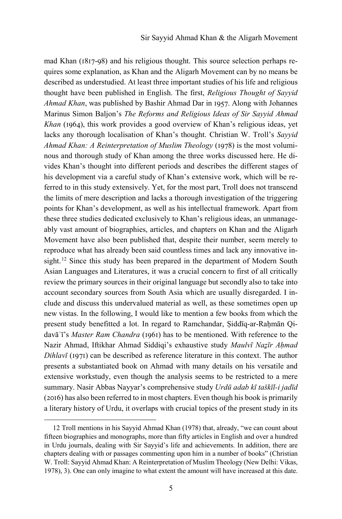mad Khan (1817-98) and his religious thought. This source selection perhaps requires some explanation, as Khan and the Aligarh Movement can by no means be described as understudied. At least three important studies of his life and religious thought have been published in English. The first, *Religious Thought of Sayyid Ahmad Khan*, was published by Bashir Ahmad Dar in 1957. Along with Johannes Marinus Simon Baljon's *The Reforms and Religious Ideas of Sir Sayyid Ahmad Khan* (1964), this work provides a good overview of Khan's religious ideas, yet lacks any thorough localisation of Khan's thought. Christian W. Troll's *Sayyid Ahmad Khan: A Reinterpretation of Muslim Theology* (1978) is the most voluminous and thorough study of Khan among the three works discussed here. He divides Khan's thought into different periods and describes the different stages of his development via a careful study of Khan's extensive work, which will be referred to in this study extensively. Yet, for the most part, Troll does not transcend the limits of mere description and lacks a thorough investigation of the triggering points for Khan's development, as well as his intellectual framework. Apart from these three studies dedicated exclusively to Khan's religious ideas, an unmanageably vast amount of biographies, articles, and chapters on Khan and the Aligarh Movement have also been published that, despite their number, seem merely to reproduce what has already been said countless times and lack any innovative in-sight.<sup>[12](#page-4-0)</sup> Since this study has been prepared in the department of Modern South Asian Languages and Literatures, it was a crucial concern to first of all critically review the primary sources in their original language but secondly also to take into account secondary sources from South Asia which are usually disregarded. I include and discuss this undervalued material as well, as these sometimes open up new vistas. In the following, I would like to mention a few books from which the present study benefitted a lot. In regard to Ramchandar, Siddīq-ar-Rahmān Qidavāʾī's *Master Ram Chandra* (1961) has to be mentioned. With reference to the Nazir Ahmad, Iftikhar Ahmad Siddiqi's exhaustive study *Maulvī Naẕīr Aḥmad Dihlavī* (1971) can be described as reference literature in this context. The author presents a substantiated book on Ahmad with many details on his versatile and extensive workstudy, even though the analysis seems to be restricted to a mere summary. Nasir Abbas Nayyar's comprehensive study *Urdū adab kī taškīl-i jadīd* (2016) has also been referred to in most chapters. Even though his book is primarily a literary history of Urdu, it overlaps with crucial topics of the present study in its

<span id="page-4-0"></span><sup>12</sup> Troll mentions in his Sayyid Ahmad Khan (1978) that, already, "we can count about fifteen biographies and monographs, more than fifty articles in English and over a hundred in Urdu journals, dealing with Sir Sayyid's life and achievements. In addition, there are chapters dealing with or passages commenting upon him in a number of books" (Christian W. Troll: Sayyid Ahmad Khan: A Reinterpretation of Muslim Theology (New Delhi: Vikas, 1978), 3). One can only imagine to what extent the amount will have increased at this date.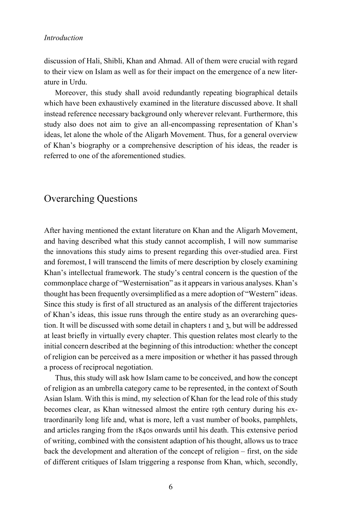discussion of Hali, Shibli, Khan and Ahmad. All of them were crucial with regard to their view on Islam as well as for their impact on the emergence of a new literature in Urdu.

Moreover, this study shall avoid redundantly repeating biographical details which have been exhaustively examined in the literature discussed above. It shall instead reference necessary background only wherever relevant. Furthermore, this study also does not aim to give an all-encompassing representation of Khan's ideas, let alone the whole of the Aligarh Movement. Thus, for a general overview of Khan's biography or a comprehensive description of his ideas, the reader is referred to one of the aforementioned studies.

### Overarching Questions

After having mentioned the extant literature on Khan and the Aligarh Movement, and having described what this study cannot accomplish, I will now summarise the innovations this study aims to present regarding this over-studied area. First and foremost, I will transcend the limits of mere description by closely examining Khan's intellectual framework. The study's central concern is the question of the commonplace charge of "Westernisation" as it appears in various analyses. Khan's thought has been frequently oversimplified as a mere adoption of "Western" ideas. Since this study is first of all structured as an analysis of the different trajectories of Khan's ideas, this issue runs through the entire study as an overarching question. It will be discussed with some detail in chapters 1 and 3, but will be addressed at least briefly in virtually every chapter. This question relates most clearly to the initial concern described at the beginning of this introduction: whether the concept of religion can be perceived as a mere imposition or whether it has passed through a process of reciprocal negotiation.

Thus, this study will ask how Islam came to be conceived, and how the concept of religion as an umbrella category came to be represented, in the context of South Asian Islam. With this is mind, my selection of Khan for the lead role of this study becomes clear, as Khan witnessed almost the entire 19th century during his extraordinarily long life and, what is more, left a vast number of books, pamphlets, and articles ranging from the 1840s onwards until his death. This extensive period of writing, combined with the consistent adaption of his thought, allows us to trace back the development and alteration of the concept of religion – first, on the side of different critiques of Islam triggering a response from Khan, which, secondly,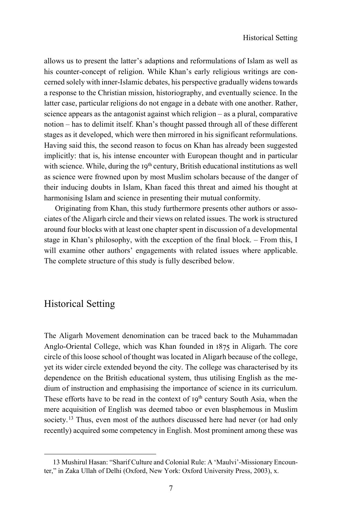allows us to present the latter's adaptions and reformulations of Islam as well as his counter-concept of religion. While Khan's early religious writings are concerned solely with inner-Islamic debates, his perspective gradually widens towards a response to the Christian mission, historiography, and eventually science. In the latter case, particular religions do not engage in a debate with one another. Rather, science appears as the antagonist against which religion – as a plural, comparative notion – has to delimit itself. Khan's thought passed through all of these different stages as it developed, which were then mirrored in his significant reformulations. Having said this, the second reason to focus on Khan has already been suggested implicitly: that is, his intense encounter with European thought and in particular with science. While, during the 19<sup>th</sup> century, British educational institutions as well as science were frowned upon by most Muslim scholars because of the danger of their inducing doubts in Islam, Khan faced this threat and aimed his thought at harmonising Islam and science in presenting their mutual conformity.

Originating from Khan, this study furthermore presents other authors or associates of the Aligarh circle and their views on related issues. The work is structured around four blocks with at least one chapter spent in discussion of a developmental stage in Khan's philosophy, with the exception of the final block. – From this, I will examine other authors' engagements with related issues where applicable. The complete structure of this study is fully described below.

### Historical Setting

1

The Aligarh Movement denomination can be traced back to the Muhammadan Anglo-Oriental College, which was Khan founded in 1875 in Aligarh. The core circle of this loose school of thought was located in Aligarh because of the college, yet its wider circle extended beyond the city. The college was characterised by its dependence on the British educational system, thus utilising English as the medium of instruction and emphasising the importance of science in its curriculum. These efforts have to be read in the context of  $19<sup>th</sup>$  century South Asia, when the mere acquisition of English was deemed taboo or even blasphemous in Muslim society.<sup>[13](#page-6-0)</sup> Thus, even most of the authors discussed here had never (or had only recently) acquired some competency in English. Most prominent among these was

<span id="page-6-0"></span><sup>13</sup> Mushirul Hasan: "Sharif Culture and Colonial Rule: A 'Maulvi'-Missionary Encounter," in Zaka Ullah of Delhi (Oxford, New York: Oxford University Press, 2003), x.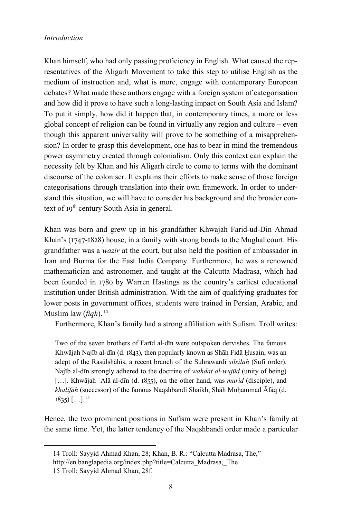Khan himself, who had only passing proficiency in English. What caused the representatives of the Aligarh Movement to take this step to utilise English as the medium of instruction and, what is more, engage with contemporary European debates? What made these authors engage with a foreign system of categorisation and how did it prove to have such a long-lasting impact on South Asia and Islam? To put it simply, how did it happen that, in contemporary times, a more or less global concept of religion can be found in virtually any region and culture – even though this apparent universality will prove to be something of a misapprehension? In order to grasp this development, one has to bear in mind the tremendous power asymmetry created through colonialism. Only this context can explain the necessity felt by Khan and his Aligarh circle to come to terms with the dominant discourse of the coloniser. It explains their efforts to make sense of those foreign categorisations through translation into their own framework. In order to understand this situation, we will have to consider his background and the broader context of  $19<sup>th</sup>$  century South Asia in general.

Khan was born and grew up in his grandfather Khwajah Farid-ud-Din Ahmad Khan's (1747-1828) house, in a family with strong bonds to the Mughal court. His grandfather was a *wazir* at the court, but also held the position of ambassador in Iran and Burma for the East India Company. Furthermore, he was a renowned mathematician and astronomer, and taught at the Calcutta Madrasa, which had been founded in 1780 by Warren Hastings as the country's earliest educational institution under British administration. With the aim of qualifying graduates for lower posts in government offices, students were trained in Persian, Arabic, and Muslim law (*fiqh*).[14](#page-7-0)

Furthermore, Khan's family had a strong affiliation with Sufism. Troll writes:

Two of the seven brothers of Farīd al-dīn were outspoken dervishes. The famous Khwājah Najīb al-dīn (d. 1843), then popularly known as Shāh Fidā Ḥusain, was an adept of the Rasūlshāhīs, a recent branch of the Suhrawardī *silsilah* (Sufi order). Najīb al-dīn strongly adhered to the doctrine of *waḥdat al-wujūd* (unity of being) [...]. Khwājah ʿAlā al-dīn (d. 1855), on the other hand, was *murid* (disciple), and *khalīfah* (successor) of the famous Naqshbandi Shaikh, Shāh Muḥammad Āfāq (d.  $1835$   $\left[ \ldots \right]$ .  $^{15}$  $^{15}$  $^{15}$ 

Hence, the two prominent positions in Sufism were present in Khan's family at the same time. Yet, the latter tendency of the Naqshbandi order made a particular

<span id="page-7-0"></span><sup>14</sup> Troll: Sayyid Ahmad Khan, 28; Khan, B. R.: "Calcutta Madrasa, The,"

http://en.banglapedia.org/index.php?title=Calcutta\_Madrasa,\_The

<span id="page-7-1"></span><sup>15</sup> Troll: Sayyid Ahmad Khan, 28f.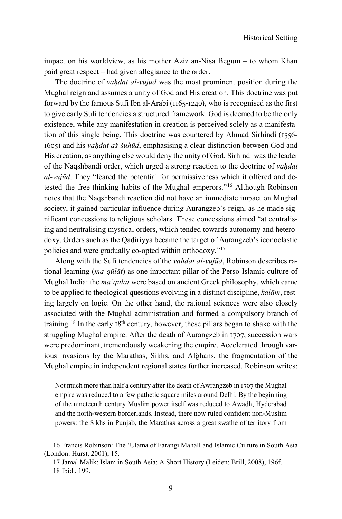Historical Setting

impact on his worldview, as his mother Aziz an-Nisa Begum – to whom Khan paid great respect – had given allegiance to the order.

The doctrine of *vahdat al-vujūd* was the most prominent position during the Mughal reign and assumes a unity of God and His creation. This doctrine was put forward by the famous Sufi Ibn al-Arabi (1165-1240), who is recognised as the first to give early Sufi tendencies a structured framework. God is deemed to be the only existence, while any manifestation in creation is perceived solely as a manifestation of this single being. This doctrine was countered by Ahmad Sirhindi (1556- 1605) and his *vaḥdat aš-šuhūd*, emphasising a clear distinction between God and His creation, as anything else would deny the unity of God. Sirhindi was the leader of the Naqshbandi order, which urged a strong reaction to the doctrine of *vaḥdat al-vujūd*. They "feared the potential for permissiveness which it offered and detested the free-thinking habits of the Mughal emperors."[16](#page-8-0) Although Robinson notes that the Naqshbandi reaction did not have an immediate impact on Mughal society, it gained particular influence during Aurangzeb's reign, as he made significant concessions to religious scholars. These concessions aimed "at centralising and neutralising mystical orders, which tended towards autonomy and heterodoxy. Orders such as the Qadiriyya became the target of Aurangzeb's iconoclastic policies and were gradually co-opted within orthodoxy."[17](#page-8-1)

Along with the Sufi tendencies of the *vaḥdat al-vujūd*, Robinson describes rational learning (*maʿqūlāt*) as one important pillar of the Perso-Islamic culture of Mughal India: the *maʿqūlāt* were based on ancient Greek philosophy, which came to be applied to theological questions evolving in a distinct discipline, *kalām*, resting largely on logic. On the other hand, the rational sciences were also closely associated with the Mughal administration and formed a compulsory branch of training.<sup>[18](#page-8-2)</sup> In the early  $18<sup>th</sup>$  century, however, these pillars began to shake with the struggling Mughal empire. After the death of Aurangzeb in 1707, succession wars were predominant, tremendously weakening the empire. Accelerated through various invasions by the Marathas, Sikhs, and Afghans, the fragmentation of the Mughal empire in independent regional states further increased. Robinson writes:

Not much more than half a century after the death of Awrangzeb in 1707 the Mughal empire was reduced to a few pathetic square miles around Delhi. By the beginning of the nineteenth century Muslim power itself was reduced to Awadh, Hyderabad and the north-western borderlands. Instead, there now ruled confident non-Muslim powers: the Sikhs in Punjab, the Marathas across a great swathe of territory from

<span id="page-8-2"></span><span id="page-8-1"></span><span id="page-8-0"></span><sup>16</sup> Francis Robinson: The 'Ulama of Farangi Mahall and Islamic Culture in South Asia (London: Hurst, 2001), 15.

<sup>17</sup> Jamal Malik: Islam in South Asia: A Short History (Leiden: Brill, 2008), 196f. 18 Ibid., 199.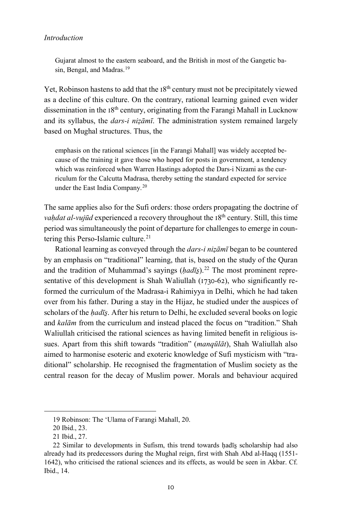Gujarat almost to the eastern seaboard, and the British in most of the Gangetic ba-sin, Bengal, and Madras.<sup>[19](#page-9-0)</sup>

Yet, Robinson hastens to add that the 18<sup>th</sup> century must not be precipitately viewed as a decline of this culture. On the contrary, rational learning gained even wider dissemination in the  $18<sup>th</sup>$  century, originating from the Farangi Mahall in Lucknow and its syllabus, the *dars-i nizāmī*. The administration system remained largely based on Mughal structures. Thus, the

emphasis on the rational sciences [in the Farangi Mahall] was widely accepted because of the training it gave those who hoped for posts in government, a tendency which was reinforced when Warren Hastings adopted the Dars-i Nizami as the curriculum for the Calcutta Madrasa, thereby setting the standard expected for service under the East India Company.[20](#page-9-1)

The same applies also for the Sufi orders: those orders propagating the doctrine of *vahdat al-vujūd* experienced a recovery throughout the 18<sup>th</sup> century. Still, this time period was simultaneously the point of departure for challenges to emerge in coun-tering this Perso-Islamic culture.<sup>[21](#page-9-2)</sup>

Rational learning as conveyed through the *dars-i niẓāmī* began to be countered by an emphasis on "traditional" learning, that is, based on the study of the Quran and the tradition of Muhammad's sayings (*hadīs*).<sup>[22](#page-9-3)</sup> The most prominent representative of this development is Shah Waliullah (1730-62), who significantly reformed the curriculum of the Madrasa-i Rahimiyya in Delhi, which he had taken over from his father. During a stay in the Hijaz, he studied under the auspices of scholars of the *hadīs*. After his return to Delhi, he excluded several books on logic and *kalām* from the curriculum and instead placed the focus on "tradition." Shah Waliullah criticised the rational sciences as having limited benefit in religious issues. Apart from this shift towards "tradition" (*manqūlāt*), Shah Waliullah also aimed to harmonise esoteric and exoteric knowledge of Sufi mysticism with "traditional" scholarship. He recognised the fragmentation of Muslim society as the central reason for the decay of Muslim power. Morals and behaviour acquired

<sup>19</sup> Robinson: The 'Ulama of Farangi Mahall, 20.

<sup>20</sup> Ibid., 23.

<sup>21</sup> Ibid., 27.

<span id="page-9-3"></span><span id="page-9-2"></span><span id="page-9-1"></span><span id="page-9-0"></span><sup>22</sup> Similar to developments in Sufism, this trend towards ḥadīs̱ scholarship had also already had its predecessors during the Mughal reign, first with Shah Abd al-Haqq (1551- 1642), who criticised the rational sciences and its effects, as would be seen in Akbar. Cf. Ibid., 14.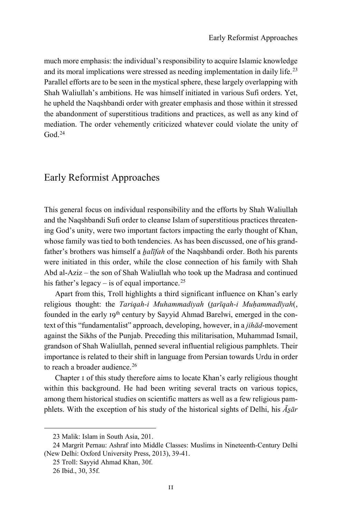much more emphasis: the individual's responsibility to acquire Islamic knowledge and its moral implications were stressed as needing implementation in daily life.[23](#page-10-0) Parallel efforts are to be seen in the mystical sphere, these largely overlapping with Shah Waliullah's ambitions. He was himself initiated in various Sufi orders. Yet, he upheld the Naqshbandi order with greater emphasis and those within it stressed the abandonment of superstitious traditions and practices, as well as any kind of mediation. The order vehemently criticized whatever could violate the unity of God $24$ 

# Early Reformist Approaches

This general focus on individual responsibility and the efforts by Shah Waliullah and the Naqshbandi Sufi order to cleanse Islam of superstitious practices threatening God's unity, were two important factors impacting the early thought of Khan, whose family was tied to both tendencies. As has been discussed, one of his grandfather's brothers was himself a *halīfah* of the Naqshbandi order. Both his parents were initiated in this order, while the close connection of his family with Shah Abd al-Aziz – the son of Shah Waliullah who took up the Madrasa and continued his father's legacy – is of equal importance.<sup>[25](#page-10-2)</sup>

Apart from this, Troll highlights a third significant influence on Khan's early religious thought: the *Tariqah-i Muhammadiyah* (*t̤arīqah-i Muḥammadīyah*(, founded in the early 19<sup>th</sup> century by Sayyid Ahmad Barelwi, emerged in the context of this "fundamentalist" approach, developing, however, in a *jihād*-movement against the Sikhs of the Punjab. Preceding this militarisation, Muhammad Ismail, grandson of Shah Waliullah, penned several influential religious pamphlets. Their importance is related to their shift in language from Persian towards Urdu in order to reach a broader audience.<sup>[26](#page-10-3)</sup>

Chapter 1 of this study therefore aims to locate Khan's early religious thought within this background. He had been writing several tracts on various topics, among them historical studies on scientific matters as well as a few religious pamphlets. With the exception of his study of the historical sights of Delhi, his *Ās̱ār* 

<sup>23</sup> Malik: Islam in South Asia, 201.

<span id="page-10-3"></span><span id="page-10-2"></span><span id="page-10-1"></span><span id="page-10-0"></span><sup>24</sup> Margrit Pernau: Ashraf into Middle Classes: Muslims in Nineteenth-Century Delhi (New Delhi: Oxford University Press, 2013), 39-41.

<sup>25</sup> Troll: Sayyid Ahmad Khan, 30f.

<sup>26</sup> Ibid., 30, 35f.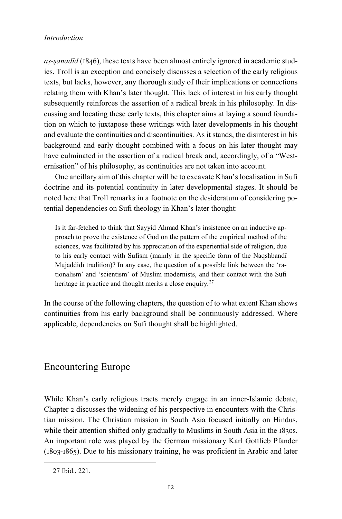*aṣ-ṣanadīd* (1846), these texts have been almost entirely ignored in academic studies. Troll is an exception and concisely discusses a selection of the early religious texts, but lacks, however, any thorough study of their implications or connections relating them with Khan's later thought. This lack of interest in his early thought subsequently reinforces the assertion of a radical break in his philosophy. In discussing and locating these early texts, this chapter aims at laying a sound foundation on which to juxtapose these writings with later developments in his thought and evaluate the continuities and discontinuities. As it stands, the disinterest in his background and early thought combined with a focus on his later thought may have culminated in the assertion of a radical break and, accordingly, of a "Westernisation" of his philosophy, as continuities are not taken into account.

One ancillary aim of this chapter will be to excavate Khan's localisation in Sufi doctrine and its potential continuity in later developmental stages. It should be noted here that Troll remarks in a footnote on the desideratum of considering potential dependencies on Sufi theology in Khan's later thought:

Is it far-fetched to think that Sayyid Ahmad Khan's insistence on an inductive approach to prove the existence of God on the pattern of the empirical method of the sciences, was facilitated by his appreciation of the experiential side of religion, due to his early contact with Sufism (mainly in the specific form of the Naqshbandī Mujaddidī tradition)? In any case, the question of a possible link between the 'rationalism' and 'scientism' of Muslim modernists, and their contact with the Sufi heritage in practice and thought merits a close enquiry.<sup>[27](#page-11-0)</sup>

In the course of the following chapters, the question of to what extent Khan shows continuities from his early background shall be continuously addressed. Where applicable, dependencies on Sufi thought shall be highlighted.

# Encountering Europe

While Khan's early religious tracts merely engage in an inner-Islamic debate, Chapter 2 discusses the widening of his perspective in encounters with the Christian mission. The Christian mission in South Asia focused initially on Hindus, while their attention shifted only gradually to Muslims in South Asia in the 1830s. An important role was played by the German missionary Karl Gottlieb Pfander (1803-1865). Due to his missionary training, he was proficient in Arabic and later

<span id="page-11-0"></span><sup>27</sup> Ibid., 221.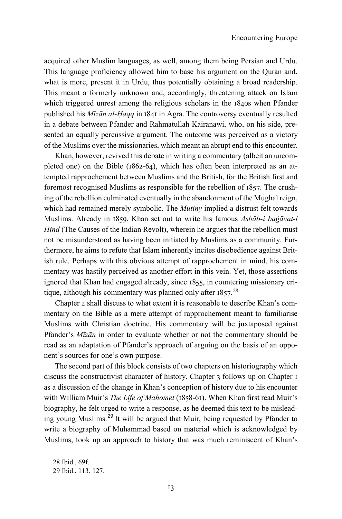acquired other Muslim languages, as well, among them being Persian and Urdu. This language proficiency allowed him to base his argument on the Quran and, what is more, present it in Urdu, thus potentially obtaining a broad readership. This meant a formerly unknown and, accordingly, threatening attack on Islam which triggered unrest among the religious scholars in the 1840s when Pfander published his *Mīzān al-Ḥaqq* in 1841 in Agra. The controversy eventually resulted in a debate between Pfander and Rahmatullah Kairanawi, who, on his side, presented an equally percussive argument. The outcome was perceived as a victory of the Muslims over the missionaries, which meant an abrupt end to this encounter.

Khan, however, revived this debate in writing a commentary (albeit an uncompleted one) on the Bible (1862-64), which has often been interpreted as an attempted rapprochement between Muslims and the British, for the British first and foremost recognised Muslims as responsible for the rebellion of 1857. The crushing of the rebellion culminated eventually in the abandonment of the Mughal reign, which had remained merely symbolic. The *Mutiny* implied a distrust felt towards Muslims. Already in 1859, Khan set out to write his famous *Asbāb-i baġāvat-i Hind* (The Causes of the Indian Revolt), wherein he argues that the rebellion must not be misunderstood as having been initiated by Muslims as a community. Furthermore, he aims to refute that Islam inherently incites disobedience against British rule. Perhaps with this obvious attempt of rapprochement in mind, his commentary was hastily perceived as another effort in this vein. Yet, those assertions ignored that Khan had engaged already, since 1855, in countering missionary critique, although his commentary was planned only after  $1857$ .<sup>[28](#page-12-0)</sup>

Chapter 2 shall discuss to what extent it is reasonable to describe Khan's commentary on the Bible as a mere attempt of rapprochement meant to familiarise Muslims with Christian doctrine. His commentary will be juxtaposed against Pfander's *Mīzān* in order to evaluate whether or not the commentary should be read as an adaptation of Pfander's approach of arguing on the basis of an opponent's sources for one's own purpose.

The second part of this block consists of two chapters on historiography which discuss the constructivist character of history. Chapter 3 follows up on Chapter 1 as a discussion of the change in Khan's conception of history due to his encounter with William Muir's *The Life of Mahomet* (1858-61). When Khan first read Muir's biography, he felt urged to write a response, as he deemed this text to be misleading young Muslims.[29](#page-12-1) It will be argued that Muir, being requested by Pfander to write a biography of Muhammad based on material which is acknowledged by Muslims, took up an approach to history that was much reminiscent of Khan's

<span id="page-12-1"></span><span id="page-12-0"></span>1

<sup>28</sup> Ibid., 69f.

<sup>29</sup> Ibid., 113, 127.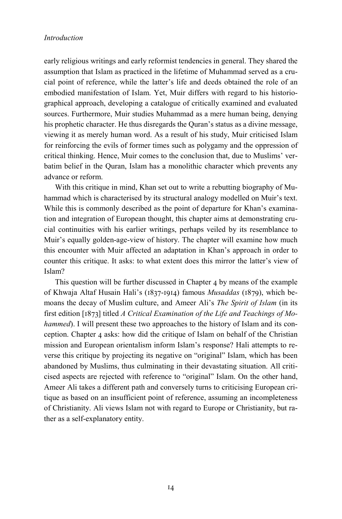early religious writings and early reformist tendencies in general. They shared the assumption that Islam as practiced in the lifetime of Muhammad served as a crucial point of reference, while the latter's life and deeds obtained the role of an embodied manifestation of Islam. Yet, Muir differs with regard to his historiographical approach, developing a catalogue of critically examined and evaluated sources. Furthermore, Muir studies Muhammad as a mere human being, denying his prophetic character. He thus disregards the Quran's status as a divine message, viewing it as merely human word. As a result of his study, Muir criticised Islam for reinforcing the evils of former times such as polygamy and the oppression of critical thinking. Hence, Muir comes to the conclusion that, due to Muslims' verbatim belief in the Quran, Islam has a monolithic character which prevents any advance or reform.

With this critique in mind, Khan set out to write a rebutting biography of Muhammad which is characterised by its structural analogy modelled on Muir's text. While this is commonly described as the point of departure for Khan's examination and integration of European thought, this chapter aims at demonstrating crucial continuities with his earlier writings, perhaps veiled by its resemblance to Muir's equally golden-age-view of history. The chapter will examine how much this encounter with Muir affected an adaptation in Khan's approach in order to counter this critique. It asks: to what extent does this mirror the latter's view of Islam?

This question will be further discussed in Chapter 4 by means of the example of Khwaja Altaf Husain Hali's (1837-1914) famous *Musaddas* (1879), which bemoans the decay of Muslim culture, and Ameer Ali's *The Spirit of Islam* (in its first edition [1873] titled *A Critical Examination of the Life and Teachings of Mohammed*). I will present these two approaches to the history of Islam and its conception. Chapter 4 asks: how did the critique of Islam on behalf of the Christian mission and European orientalism inform Islam's response? Hali attempts to reverse this critique by projecting its negative on "original" Islam, which has been abandoned by Muslims, thus culminating in their devastating situation. All criticised aspects are rejected with reference to "original" Islam. On the other hand, Ameer Ali takes a different path and conversely turns to criticising European critique as based on an insufficient point of reference, assuming an incompleteness of Christianity. Ali views Islam not with regard to Europe or Christianity, but rather as a self-explanatory entity.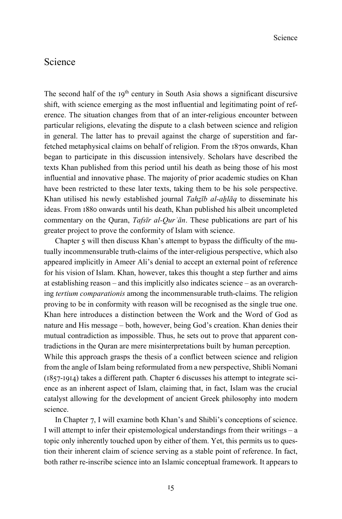### Science

The second half of the  $19<sup>th</sup>$  century in South Asia shows a significant discursive shift, with science emerging as the most influential and legitimating point of reference. The situation changes from that of an inter-religious encounter between particular religions, elevating the dispute to a clash between science and religion in general. The latter has to prevail against the charge of superstition and farfetched metaphysical claims on behalf of religion. From the 1870s onwards, Khan began to participate in this discussion intensively. Scholars have described the texts Khan published from this period until his death as being those of his most influential and innovative phase. The majority of prior academic studies on Khan have been restricted to these later texts, taking them to be his sole perspective. Khan utilised his newly established journal *Tahẕīb al-aẖlāq* to disseminate his ideas. From 1880 onwards until his death, Khan published his albeit uncompleted commentary on the Quran, *Tafsīr al-Qurʾān*. These publications are part of his greater project to prove the conformity of Islam with science.

Chapter 5 will then discuss Khan's attempt to bypass the difficulty of the mutually incommensurable truth-claims of the inter-religious perspective, which also appeared implicitly in Ameer Ali's denial to accept an external point of reference for his vision of Islam. Khan, however, takes this thought a step further and aims at establishing reason – and this implicitly also indicates science – as an overarching *tertium comparationis* among the incommensurable truth-claims. The religion proving to be in conformity with reason will be recognised as the single true one. Khan here introduces a distinction between the Work and the Word of God as nature and His message – both, however, being God's creation. Khan denies their mutual contradiction as impossible. Thus, he sets out to prove that apparent contradictions in the Quran are mere misinterpretations built by human perception. While this approach grasps the thesis of a conflict between science and religion from the angle of Islam being reformulated from a new perspective, Shibli Nomani (1857-1914) takes a different path. Chapter 6 discusses his attempt to integrate science as an inherent aspect of Islam, claiming that, in fact, Islam was the crucial catalyst allowing for the development of ancient Greek philosophy into modern science.

In Chapter 7, I will examine both Khan's and Shibli's conceptions of science. I will attempt to infer their epistemological understandings from their writings – a topic only inherently touched upon by either of them. Yet, this permits us to question their inherent claim of science serving as a stable point of reference. In fact, both rather re-inscribe science into an Islamic conceptual framework. It appears to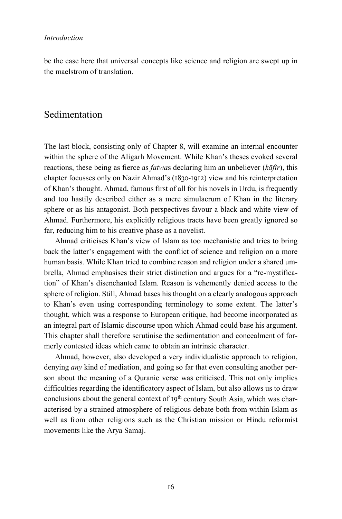be the case here that universal concepts like science and religion are swept up in the maelstrom of translation.

### Sedimentation

The last block, consisting only of Chapter 8, will examine an internal encounter within the sphere of the Aligarh Movement. While Khan's theses evoked several reactions, these being as fierce as *fatwa*s declaring him an unbeliever (*kāfir*), this chapter focusses only on Nazir Ahmad's (1830-1912) view and his reinterpretation of Khan's thought. Ahmad, famous first of all for his novels in Urdu, is frequently and too hastily described either as a mere simulacrum of Khan in the literary sphere or as his antagonist. Both perspectives favour a black and white view of Ahmad. Furthermore, his explicitly religious tracts have been greatly ignored so far, reducing him to his creative phase as a novelist.

Ahmad criticises Khan's view of Islam as too mechanistic and tries to bring back the latter's engagement with the conflict of science and religion on a more human basis. While Khan tried to combine reason and religion under a shared umbrella, Ahmad emphasises their strict distinction and argues for a "re-mystification" of Khan's disenchanted Islam. Reason is vehemently denied access to the sphere of religion. Still, Ahmad bases his thought on a clearly analogous approach to Khan's even using corresponding terminology to some extent. The latter's thought, which was a response to European critique, had become incorporated as an integral part of Islamic discourse upon which Ahmad could base his argument. This chapter shall therefore scrutinise the sedimentation and concealment of formerly contested ideas which came to obtain an intrinsic character.

Ahmad, however, also developed a very individualistic approach to religion, denying *any* kind of mediation, and going so far that even consulting another person about the meaning of a Quranic verse was criticised. This not only implies difficulties regarding the identificatory aspect of Islam, but also allows us to draw conclusions about the general context of  $19<sup>th</sup>$  century South Asia, which was characterised by a strained atmosphere of religious debate both from within Islam as well as from other religions such as the Christian mission or Hindu reformist movements like the Arya Samaj.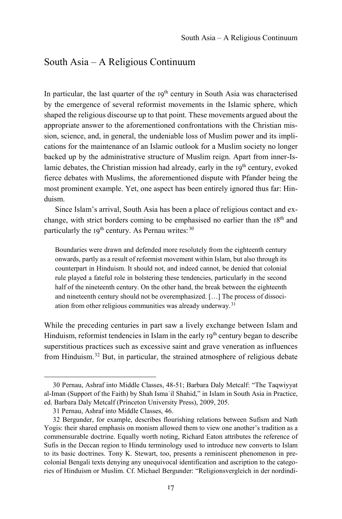### South Asia – A Religious Continuum

In particular, the last quarter of the  $19<sup>th</sup>$  century in South Asia was characterised by the emergence of several reformist movements in the Islamic sphere, which shaped the religious discourse up to that point. These movements argued about the appropriate answer to the aforementioned confrontations with the Christian mission, science, and, in general, the undeniable loss of Muslim power and its implications for the maintenance of an Islamic outlook for a Muslim society no longer backed up by the administrative structure of Muslim reign. Apart from inner-Islamic debates, the Christian mission had already, early in the  $19<sup>th</sup>$  century, evoked fierce debates with Muslims, the aforementioned dispute with Pfander being the most prominent example. Yet, one aspect has been entirely ignored thus far: Hinduism.

Since Islam's arrival, South Asia has been a place of religious contact and exchange, with strict borders coming to be emphasised no earlier than the 18<sup>th</sup> and particularly the  $19^{th}$  century. As Pernau writes:  $30$ 

Boundaries were drawn and defended more resolutely from the eighteenth century onwards, partly as a result of reformist movement within Islam, but also through its counterpart in Hinduism. It should not, and indeed cannot, be denied that colonial rule played a fateful role in bolstering these tendencies, particularly in the second half of the nineteenth century. On the other hand, the break between the eighteenth and nineteenth century should not be overemphasized. […] The process of dissociation from other religious communities was already underway.[31](#page-16-1)

While the preceding centuries in part saw a lively exchange between Islam and Hinduism, reformist tendencies in Islam in the early  $I9<sup>th</sup>$  century began to describe superstitious practices such as excessive saint and grave veneration as influences from Hinduism.[32](#page-16-2) But, in particular, the strained atmosphere of religious debate

<span id="page-16-0"></span><sup>30</sup> Pernau, Ashraf into Middle Classes, 48-51; Barbara Daly Metcalf: "The Taqwiyyat al-Iman (Support of the Faith) by Shah Ismaʿil Shahid," in Islam in South Asia in Practice, ed. Barbara Daly Metcalf (Princeton University Press), 2009, 205.

<sup>31</sup> Pernau, Ashraf into Middle Classes, 46.

<span id="page-16-2"></span><span id="page-16-1"></span><sup>32</sup> Bergunder, for example, describes flourishing relations between Sufism and Nath Yogis: their shared emphasis on monism allowed them to view one another's tradition as a commensurable doctrine. Equally worth noting, Richard Eaton attributes the reference of Sufis in the Deccan region to Hindu terminology used to introduce new converts to Islam to its basic doctrines. Tony K. Stewart, too, presents a reminiscent phenomenon in precolonial Bengali texts denying any unequivocal identification and ascription to the categories of Hinduism or Muslim. Cf. Michael Bergunder: "Religionsvergleich in der nordindi-